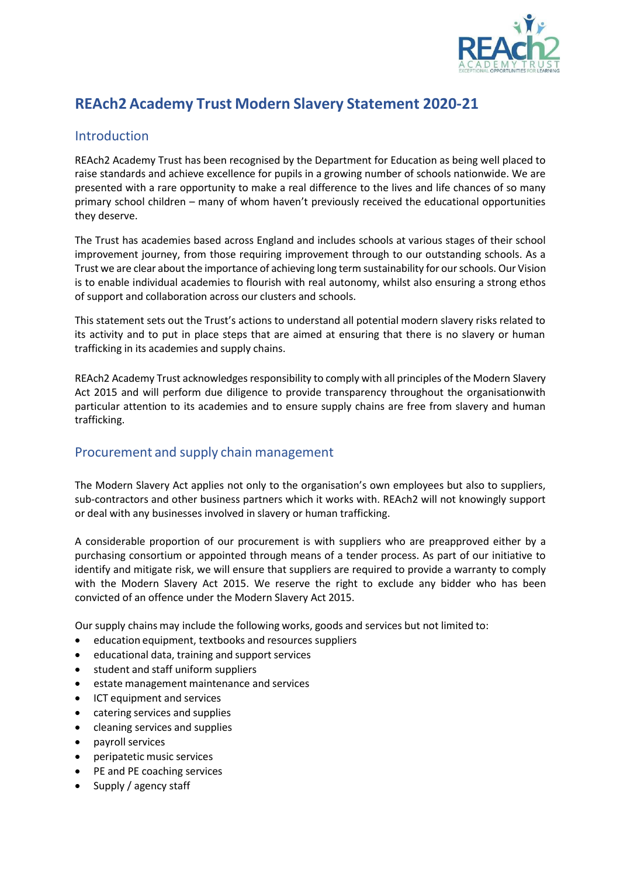

# **REAch2 Academy Trust Modern Slavery Statement 2020-21**

#### Introduction

REAch2 Academy Trust has been recognised by the Department for Education as being well placed to raise standards and achieve excellence for pupils in a growing number of schools nationwide. We are presented with a rare opportunity to make a real difference to the lives and life chances of so many primary school children – many of whom haven't previously received the educational opportunities they deserve.

The Trust has academies based across England and includes schools at various stages of their school improvement journey, from those requiring improvement through to our outstanding schools. As a Trust we are clear about the importance of achieving long term sustainability for our schools. Our Vision is to enable individual academies to flourish with real autonomy, whilst also ensuring a strong ethos of support and collaboration across our clusters and schools.

This statement sets out the Trust's actions to understand all potential modern slavery risks related to its activity and to put in place steps that are aimed at ensuring that there is no slavery or human trafficking in its academies and supply chains.

REAch2 Academy Trust acknowledges responsibility to comply with all principles of the Modern Slavery Act 2015 and will perform due diligence to provide transparency throughout the organisationwith particular attention to its academies and to ensure supply chains are free from slavery and human trafficking.

## Procurement and supply chain management

The Modern Slavery Act applies not only to the organisation's own employees but also to suppliers, sub-contractors and other business partners which it works with. REAch2 will not knowingly support or deal with any businesses involved in slavery or human trafficking.

A considerable proportion of our procurement is with suppliers who are preapproved either by a purchasing consortium or appointed through means of a tender process. As part of our initiative to identify and mitigate risk, we will ensure that suppliers are required to provide a warranty to comply with the Modern Slavery Act 2015. We reserve the right to exclude any bidder who has been convicted of an offence under the Modern Slavery Act 2015.

Our supply chains may include the following works, goods and services but not limited to:

- education equipment, textbooks and resources suppliers
- educational data, training and support services
- student and staff uniform suppliers
- estate management maintenance and services
- ICT equipment and services
- catering services and supplies
- cleaning services and supplies
- payroll services
- peripatetic music services
- PE and PE coaching services
- Supply / agency staff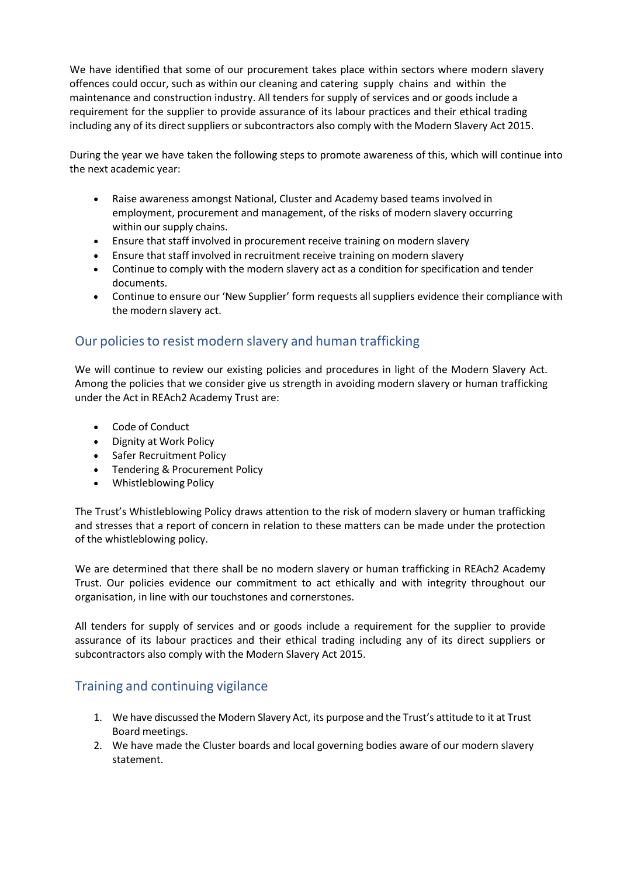We have identified that some of our procurement takes place within sectors where modern slavery offences could occur, such as within our cleaning and catering supply chains and within the maintenance and construction industry. All tenders for supply of services and or goods include a requirement for the supplier to provide assurance of its labour practices and their ethical trading including any of its direct suppliers or subcontractors also comply with the Modern Slavery Act 2015.

During the year we have taken the following steps to promote awareness of this, which will continue into the next academic year:

- Raise awareness amongst National, Cluster and Academy based teams involved in employment, procurement and management, of the risks of modern slavery occurring within our supply chains.
- Ensure that staff involved in procurement receive training on modern slavery
- Ensure that staff involved in recruitment receive training on modern slavery
- Continue to comply with the modern slavery act as a condition for specification and tender documents.
- Continue to ensure our 'New Supplier' form requests all suppliers evidence their compliance with the modern slavery act.

## Our policiesto resist modern slavery and human trafficking

We will continue to review our existing policies and procedures in light of the Modern Slavery Act. Among the policies that we consider give us strength in avoiding modern slavery or human trafficking under the Act in REAch2 Academy Trust are:

- Code of Conduct
- Dignity at Work Policy
- Safer Recruitment Policy
- Tendering & Procurement Policy
- Whistleblowing Policy

The Trust's Whistleblowing Policy draws attention to the risk of modern slavery or human trafficking and stresses that a report of concern in relation to these matters can be made under the protection of the whistleblowing policy.

We are determined that there shall be no modern slavery or human trafficking in REAch2 Academy Trust. Our policies evidence our commitment to act ethically and with integrity throughout our organisation, in line with our touchstones and cornerstones.

All tenders for supply of services and or goods include a requirement for the supplier to provide assurance of its labour practices and their ethical trading including any of its direct suppliers or subcontractors also comply with the Modern Slavery Act 2015.

## Training and continuing vigilance

- 1. We have discussed the Modern Slavery Act, its purpose and the Trust's attitude to it at Trust Board meetings.
- 2. We have made the Cluster boards and local governing bodies aware of our modern slavery statement.